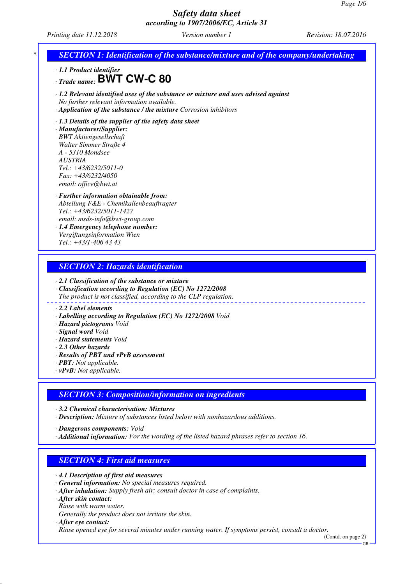*Printing date 11.12.2018 Version number 1 Revision: 18.07.2016*



*· 2.1 Classification of the substance or mixture*

- *· Classification according to Regulation (EC) No 1272/2008 The product is not classified, according to the CLP regulation.*
- 

#### *· 2.2 Label elements*

- *· Labelling according to Regulation (EC) No 1272/2008 Void*
- *· Hazard pictograms Void*
- *· Signal word Void*
- *· Hazard statements Void*
- *· 2.3 Other hazards*
- *· Results of PBT and vPvB assessment*
- *· PBT: Not applicable.*
- *· vPvB: Not applicable.*

#### *SECTION 3: Composition/information on ingredients*

*· 3.2 Chemical characterisation: Mixtures*

*· Description: Mixture of substances listed below with nonhazardous additions.*

*· Dangerous components: Void*

*· Additional information: For the wording of the listed hazard phrases refer to section 16.*

## *SECTION 4: First aid measures*

- *· 4.1 Description of first aid measures*
- *· General information: No special measures required.*
- *· After inhalation: Supply fresh air; consult doctor in case of complaints.*
- *· After skin contact:*
- *Rinse with warm water.*
- *Generally the product does not irritate the skin.*
- *· After eye contact:*

*Rinse opened eye for several minutes under running water. If symptoms persist, consult a doctor.*

(Contd. on page 2)

GB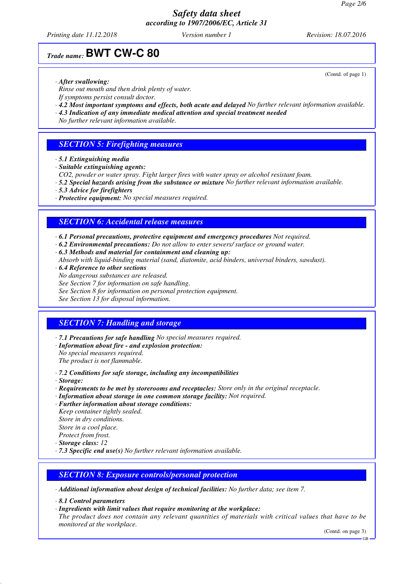*Printing date 11.12.2018 Version number 1 Revision: 18.07.2016*

(Contd. of page 1)

## *Trade name:* **BWT CW-C 80**

- *· After swallowing:*
- *Rinse out mouth and then drink plenty of water.*
- *If symptoms persist consult doctor.*
- *· 4.2 Most important symptoms and effects, both acute and delayed No further relevant information available.*
- *· 4.3 Indication of any immediate medical attention and special treatment needed*
- *No further relevant information available.*

#### *SECTION 5: Firefighting measures*

- *· 5.1 Extinguishing media*
- *· Suitable extinguishing agents:*
- *CO2, powder or water spray. Fight larger fires with water spray or alcohol resistant foam.*
- *· 5.2 Special hazards arising from the substance or mixture No further relevant information available.*
- *· 5.3 Advice for firefighters*
- *· Protective equipment: No special measures required.*

#### *SECTION 6: Accidental release measures*

- *· 6.1 Personal precautions, protective equipment and emergency procedures Not required.*
- *· 6.2 Environmental precautions: Do not allow to enter sewers/ surface or ground water.*
- *· 6.3 Methods and material for containment and cleaning up:*
- *Absorb with liquid-binding material (sand, diatomite, acid binders, universal binders, sawdust).*
- *· 6.4 Reference to other sections*
- *No dangerous substances are released. See Section 7 for information on safe handling.*
- *See Section 8 for information on personal protection equipment.*
- 

*See Section 13 for disposal information.*

#### *SECTION 7: Handling and storage*

- *· 7.1 Precautions for safe handling No special measures required. · Information about fire - and explosion protection: No special measures required. The product is not flammable.*
- *· 7.2 Conditions for safe storage, including any incompatibilities*

*· Storage:*

- *· Requirements to be met by storerooms and receptacles: Store only in the original receptacle.*
- *· Information about storage in one common storage facility: Not required.*
- *· Further information about storage conditions: Keep container tightly sealed.*

*Store in dry conditions. Store in a cool place.*

- *Protect from frost.*
- *· Storage class: 12*
- *· 7.3 Specific end use(s) No further relevant information available.*

#### *SECTION 8: Exposure controls/personal protection*

*· Additional information about design of technical facilities: No further data; see item 7.*

- *· 8.1 Control parameters*
- *· Ingredients with limit values that require monitoring at the workplace:*

*The product does not contain any relevant quantities of materials with critical values that have to be monitored at the workplace.*

(Contd. on page 3)

GB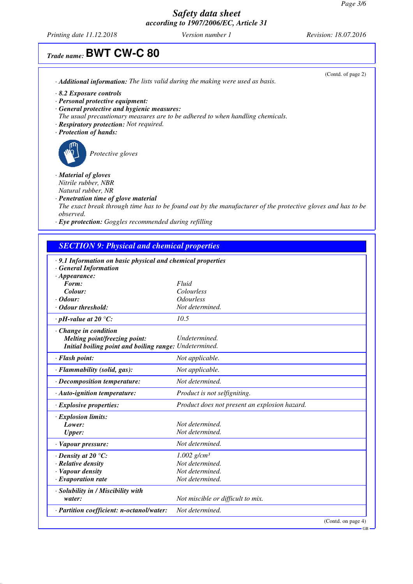*Printing date 11.12.2018 Version number 1 Revision: 18.07.2016*

# *Trade name:* **BWT CW-C 80**

|                                                                                        | (Contd. of page 2) |
|----------------------------------------------------------------------------------------|--------------------|
| · <b>Additional information:</b> The lists valid during the making were used as basis. |                    |
| $\cdot$ 8.2 Exposure controls                                                          |                    |
| · Personal protective equipment:                                                       |                    |
| · General protective and hygienic measures:                                            |                    |
| The usual precautionary measures are to be adhered to when handling chemicals.         |                    |
| · Respiratory protection: Not required.                                                |                    |
| · Protection of hands:                                                                 |                    |
| Protective gloves                                                                      |                    |

*· Material of gloves Nitrile rubber, NBR Natural rubber, NR*

*· Penetration time of glove material The exact break through time has to be found out by the manufacturer of the protective gloves and has to be observed.*

*· Eye protection: Goggles recommended during refilling*

## *SECTION 9: Physical and chemical properties*

| · 9.1 Information on basic physical and chemical properties<br>· General Information |                                               |
|--------------------------------------------------------------------------------------|-----------------------------------------------|
| $\cdot$ Appearance:                                                                  |                                               |
| Form:                                                                                | Fluid                                         |
| Colour:                                                                              | Colourless                                    |
| $\cdot$ Odour:                                                                       | <b>Odourless</b>                              |
| · Odour threshold:                                                                   | Not determined.                               |
| $\cdot$ pH-value at 20 $\degree$ C:                                                  | 10.5                                          |
| · Change in condition                                                                |                                               |
| <b>Melting point/freezing point:</b>                                                 | Undetermined.                                 |
| Initial boiling point and boiling range: Undetermined.                               |                                               |
| · Flash point:                                                                       | Not applicable.                               |
| · Flammability (solid, gas):                                                         | Not applicable.                               |
| · Decomposition temperature:                                                         | Not determined.                               |
| · Auto-ignition temperature:                                                         | Product is not selfigniting.                  |
| $\cdot$ Explosive properties:                                                        | Product does not present an explosion hazard. |
| $\cdot$ Explosion limits:                                                            |                                               |
| Lower:                                                                               | Not determined.                               |
| <b>Upper:</b>                                                                        | Not determined.                               |
| · Vapour pressure:                                                                   | Not determined.                               |
| $\cdot$ Density at 20 °C:                                                            | $1.002$ g/cm <sup>3</sup>                     |
| · Relative density                                                                   | Not determined.                               |
| · Vapour density                                                                     | Not determined.                               |
| $\cdot$ Evaporation rate                                                             | Not determined.                               |
| · Solubility in / Miscibility with                                                   |                                               |
| water:                                                                               | Not miscible or difficult to mix.             |
| · Partition coefficient: n-octanol/water:                                            | Not determined.                               |
|                                                                                      | (Contd. on page 4)<br>$-GB$                   |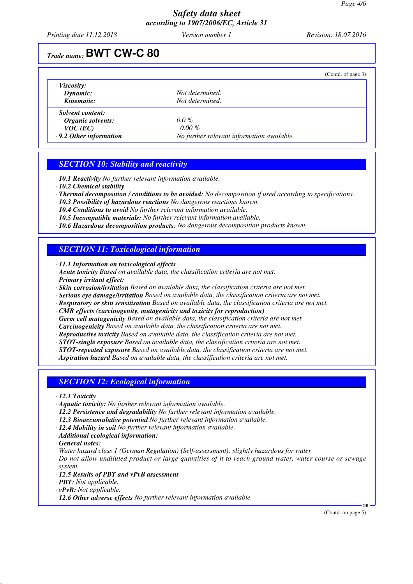*Printing date 11.12.2018 Version number 1 Revision: 18.07.2016*

## *Trade name:* **BWT CW-C 80**

|                               |                                            | (Contd. of page 3) |
|-------------------------------|--------------------------------------------|--------------------|
| $\cdot$ Viscosity:            |                                            |                    |
| Dynamic:                      | Not determined.                            |                    |
| Kinematic:                    | Not determined.                            |                    |
| · Solvent content:            |                                            |                    |
| Organic solvents:             | $0.0\%$                                    |                    |
| $VOC$ (EC)                    | $0.00 \%$                                  |                    |
| $\cdot$ 9.2 Other information | No further relevant information available. |                    |

#### *SECTION 10: Stability and reactivity*

*· 10.1 Reactivity No further relevant information available.*

- *· 10.2 Chemical stability*
- *· Thermal decomposition / conditions to be avoided: No decomposition if used according to specifications.*
- *· 10.3 Possibility of hazardous reactions No dangerous reactions known.*
- *· 10.4 Conditions to avoid No further relevant information available.*
- *· 10.5 Incompatible materials: No further relevant information available.*
- *· 10.6 Hazardous decomposition products: No dangerous decomposition products known.*

#### *SECTION 11: Toxicological information*

*· 11.1 Information on toxicological effects*

- *· Acute toxicity Based on available data, the classification criteria are not met.*
- *· Primary irritant effect:*
- *· Skin corrosion/irritation Based on available data, the classification criteria are not met.*
- *· Serious eye damage/irritation Based on available data, the classification criteria are not met.*
- *· Respiratory or skin sensitisation Based on available data, the classification criteria are not met.*
- *· CMR effects (carcinogenity, mutagenicity and toxicity for reproduction)*
- *· Germ cell mutagenicity Based on available data, the classification criteria are not met.*
- *· Carcinogenicity Based on available data, the classification criteria are not met.*
- *· Reproductive toxicity Based on available data, the classification criteria are not met.*

*· STOT-single exposure Based on available data, the classification criteria are not met.*

- *· STOT-repeated exposure Based on available data, the classification criteria are not met.*
- *· Aspiration hazard Based on available data, the classification criteria are not met.*

#### *SECTION 12: Ecological information*

*· 12.1 Toxicity*

- *· Aquatic toxicity: No further relevant information available.*
- *· 12.2 Persistence and degradability No further relevant information available.*
- *· 12.3 Bioaccumulative potential No further relevant information available.*
- *· 12.4 Mobility in soil No further relevant information available.*
- *· Additional ecological information:*
- *· General notes:*
- *Water hazard class 1 (German Regulation) (Self-assessment): slightly hazardous for water Do not allow undiluted product or large quantities of it to reach ground water, water course or sewage system.*
- *· 12.5 Results of PBT and vPvB assessment*
- *· PBT: Not applicable.*
- *· vPvB: Not applicable.*
- *· 12.6 Other adverse effects No further relevant information available.*

(Contd. on page 5)

GB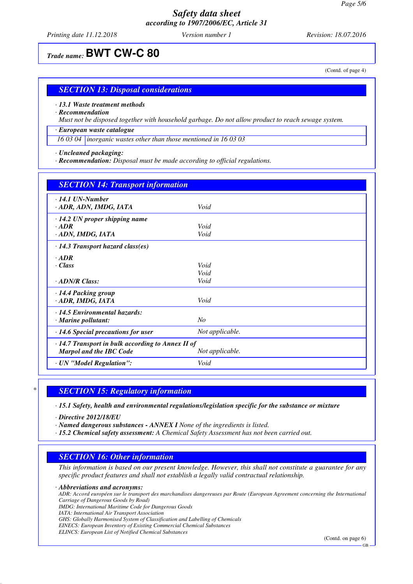*Printing date 11.12.2018 Version number 1 Revision: 18.07.2016*

## *Trade name:* **BWT CW-C 80**

(Contd. of page 4)

#### *SECTION 13: Disposal considerations*

*· 13.1 Waste treatment methods*

*· Recommendation*

*Must not be disposed together with household garbage. Do not allow product to reach sewage system.*

*· European waste catalogue*

*16 03 04 inorganic wastes other than those mentioned in 16 03 03*

*· Uncleaned packaging:*

*· Recommendation: Disposal must be made according to official regulations.*

| <b>SECTION 14: Transport information</b>                |                 |  |
|---------------------------------------------------------|-----------------|--|
| $\cdot$ 14.1 UN-Number<br>· ADR, ADN, IMDG, IATA        | Void            |  |
| $\cdot$ 14.2 UN proper shipping name                    |                 |  |
| $\cdot$ ADR                                             | Void            |  |
| · ADN, IMDG, IATA                                       | Void            |  |
| $\cdot$ 14.3 Transport hazard class(es)                 |                 |  |
| $\cdot$ ADR                                             |                 |  |
| $\cdot$ Class                                           | Void            |  |
|                                                         | Void            |  |
| $\cdot$ ADN/R Class:                                    | Void            |  |
| · 14.4 Packing group                                    |                 |  |
| · ADR, IMDG, IATA                                       | Void            |  |
| $\cdot$ 14.5 Environmental hazards:                     |                 |  |
| N <sub>O</sub><br>$\cdot$ Marine pollutant:             |                 |  |
| $\cdot$ 14.6 Special precautions for user               | Not applicable. |  |
| $\cdot$ 14.7 Transport in bulk according to Annex II of |                 |  |
| <b>Marpol and the IBC Code</b>                          | Not applicable. |  |
| · UN "Model Regulation":                                | Void            |  |

#### *\* SECTION 15: Regulatory information*

*· 15.1 Safety, health and environmental regulations/legislation specific for the substance or mixture*

*· Directive 2012/18/EU*

*· Named dangerous substances - ANNEX I None of the ingredients is listed.*

*· 15.2 Chemical safety assessment: A Chemical Safety Assessment has not been carried out.*

#### *SECTION 16: Other information*

*This information is based on our present knowledge. However, this shall not constitute a guarantee for any specific product features and shall not establish a legally valid contractual relationship.*

*· Abbreviations and acronyms:*

*ADR: Accord européen sur le transport des marchandises dangereuses par Route (European Agreement concerning the International Carriage of Dangerous Goods by Road)*

*IMDG: International Maritime Code for Dangerous Goods*

*IATA: International Air Transport Association*

*GHS: Globally Harmonised System of Classification and Labelling of Chemicals*

*EINECS: European Inventory of Existing Commercial Chemical Substances*

*ELINCS: European List of Notified Chemical Substances*

(Contd. on page 6)

GB